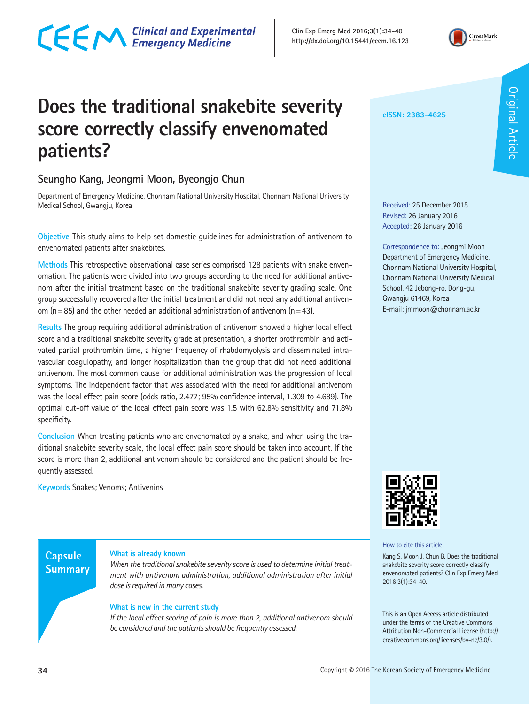**Clin Exp Emerg Med 2016;3(1):34-40 http://dx.doi.org/10.15441/ceem.16.123** 

## **Does the traditional snakebite severity score correctly classify envenomated patients?**

## **Seungho Kang, Jeongmi Moon, Byeongjo Chun**

CECM Clinical and Experimental

Department of Emergency Medicine, Chonnam National University Hospital, Chonnam National University Medical School, Gwangju, Korea

**Objective** This study aims to help set domestic guidelines for administration of antivenom to envenomated patients after snakebites.

**Methods** This retrospective observational case series comprised 128 patients with snake envenomation. The patients were divided into two groups according to the need for additional antivenom after the initial treatment based on the traditional snakebite severity grading scale. One group successfully recovered after the initial treatment and did not need any additional antivenom ( $n=85$ ) and the other needed an additional administration of antivenom ( $n=43$ ).

**Results** The group requiring additional administration of antivenom showed a higher local effect score and a traditional snakebite severity grade at presentation, a shorter prothrombin and activated partial prothrombin time, a higher frequency of rhabdomyolysis and disseminated intravascular coagulopathy, and longer hospitalization than the group that did not need additional antivenom. The most common cause for additional administration was the progression of local symptoms. The independent factor that was associated with the need for additional antivenom was the local effect pain score (odds ratio, 2.477; 95% confidence interval, 1.309 to 4.689). The optimal cut-off value of the local effect pain score was 1.5 with 62.8% sensitivity and 71.8% specificity.

**Conclusion** When treating patients who are envenomated by a snake, and when using the traditional snakebite severity scale, the local effect pain score should be taken into account. If the score is more than 2, additional antivenom should be considered and the patient should be frequently assessed.

**Keywords** Snakes; Venoms; Antivenins

### **What is already known**

*When the traditional snakebite severity score is used to determine initial treatment with antivenom administration, additional administration after initial dose is required in many cases.*

### **What is new in the current study**

*If the local effect scoring of pain is more than 2, additional antivenom should be considered and the patients should be frequently assessed.* 



#### How to cite this article:

Kang S, Moon J, Chun B. Does the traditional snakebite severity score correctly classify envenomated patients? Clin Exp Emerg Med 2016;3(1):34-40.

This is an Open Access article distributed under the terms of the Creative Commons Attribution Non-Commercial License (http:// creativecommons.org/licenses/by-nc/3.0/).

CrossMark

Received: 25 December 2015 Revised: 26 January 2016 Accepted: 26 January 2016

**eISSN: 2383-4625**

Correspondence to: Jeongmi Moon Department of Emergency Medicine, Chonnam National University Hospital, Chonnam National University Medical School, 42 Jebong-ro, Dong-gu, Gwangju 61469, Korea E-mail: jmmoon@chonnam.ac.kr

**Capsule Summary**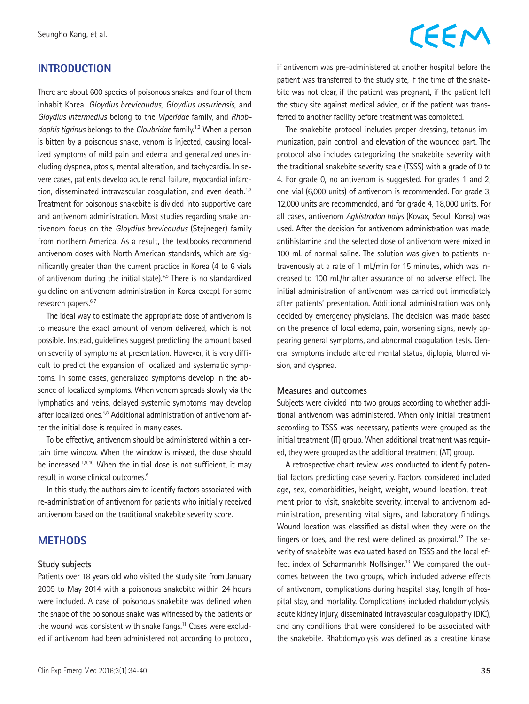#### **INTRODUCTION**

There are about 600 species of poisonous snakes, and four of them inhabit Korea. *Gloydius brevicaudus*, *Gloydius ussuriensis*, and *Gloydius intermedius* belong to the *Viperidae* family, and *Rhabdophis tigrinus* belongs to the *Cloubridae* family.1,2 When a person is bitten by a poisonous snake, venom is injected, causing localized symptoms of mild pain and edema and generalized ones including dyspnea, ptosis, mental alteration, and tachycardia. In severe cases, patients develop acute renal failure, myocardial infarction, disseminated intravascular coagulation, and even death. $1,3$ Treatment for poisonous snakebite is divided into supportive care and antivenom administration. Most studies regarding snake antivenom focus on the *Gloydius brevicaudus* (Stejneger) family from northern America. As a result, the textbooks recommend antivenom doses with North American standards, which are significantly greater than the current practice in Korea (4 to 6 vials of antivenom during the initial state).<sup>4,5</sup> There is no standardized guideline on antivenom administration in Korea except for some research papers.<sup>6,7</sup>

The ideal way to estimate the appropriate dose of antivenom is to measure the exact amount of venom delivered, which is not possible. Instead, guidelines suggest predicting the amount based on severity of symptoms at presentation. However, it is very difficult to predict the expansion of localized and systematic symptoms. In some cases, generalized symptoms develop in the absence of localized symptoms. When venom spreads slowly via the lymphatics and veins, delayed systemic symptoms may develop after localized ones.<sup>4,8</sup> Additional administration of antivenom after the initial dose is required in many cases.

To be effective, antivenom should be administered within a certain time window. When the window is missed, the dose should be increased.<sup>1,9,10</sup> When the initial dose is not sufficient, it may result in worse clinical outcomes.<sup>6</sup>

In this study, the authors aim to identify factors associated with re-administration of antivenom for patients who initially received antivenom based on the traditional snakebite severity score.

## **METHODS**

#### **Study subjects**

Patients over 18 years old who visited the study site from January 2005 to May 2014 with a poisonous snakebite within 24 hours were included. A case of poisonous snakebite was defined when the shape of the poisonous snake was witnessed by the patients or the wound was consistent with snake fangs.<sup>11</sup> Cases were excluded if antivenom had been administered not according to protocol,

## CEEM

if antivenom was pre-administered at another hospital before the patient was transferred to the study site, if the time of the snakebite was not clear, if the patient was pregnant, if the patient left the study site against medical advice, or if the patient was transferred to another facility before treatment was completed.

The snakebite protocol includes proper dressing, tetanus immunization, pain control, and elevation of the wounded part. The protocol also includes categorizing the snakebite severity with the traditional snakebite severity scale (TSSS) with a grade of 0 to 4. For grade 0, no antivenom is suggested. For grades 1 and 2, one vial (6,000 units) of antivenom is recommended. For grade 3, 12,000 units are recommended, and for grade 4, 18,000 units. For all cases, antivenom *Agkistrodon halys* (Kovax, Seoul, Korea) was used. After the decision for antivenom administration was made, antihistamine and the selected dose of antivenom were mixed in 100 mL of normal saline. The solution was given to patients intravenously at a rate of 1 mL/min for 15 minutes, which was increased to 100 mL/hr after assurance of no adverse effect. The initial administration of antivenom was carried out immediately after patients' presentation. Additional administration was only decided by emergency physicians. The decision was made based on the presence of local edema, pain, worsening signs, newly appearing general symptoms, and abnormal coagulation tests. General symptoms include altered mental status, diplopia, blurred vision, and dyspnea.

#### **Measures and outcomes**

Subjects were divided into two groups according to whether additional antivenom was administered. When only initial treatment according to TSSS was necessary, patients were grouped as the initial treatment (IT) group. When additional treatment was required, they were grouped as the additional treatment (AT) group.

A retrospective chart review was conducted to identify potential factors predicting case severity. Factors considered included age, sex, comorbidities, height, weight, wound location, treatment prior to visit, snakebite severity, interval to antivenom administration, presenting vital signs, and laboratory findings. Wound location was classified as distal when they were on the fingers or toes, and the rest were defined as proximal.<sup>12</sup> The severity of snakebite was evaluated based on TSSS and the local effect index of Scharmanrhk Noffsinger.<sup>13</sup> We compared the outcomes between the two groups, which included adverse effects of antivenom, complications during hospital stay, length of hospital stay, and mortality. Complications included rhabdomyolysis, acute kidney injury, disseminated intravascular coagulopathy (DIC), and any conditions that were considered to be associated with the snakebite. Rhabdomyolysis was defined as a creatine kinase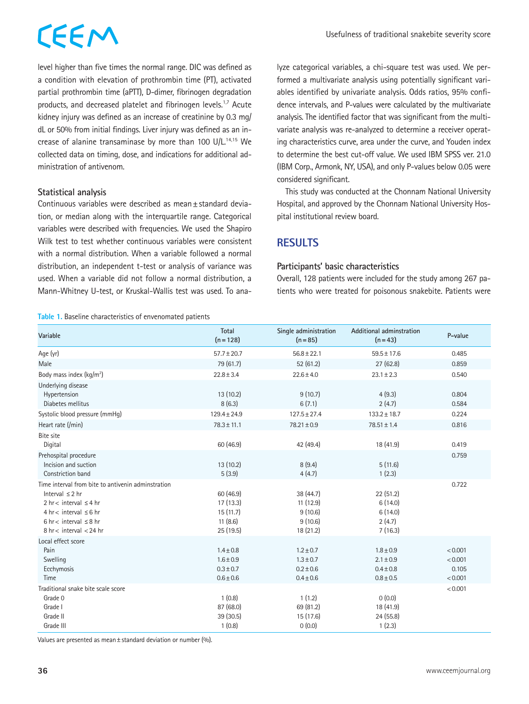## CEEM

level higher than five times the normal range. DIC was defined as a condition with elevation of prothrombin time (PT), activated partial prothrombin time (aPTT), D-dimer, fibrinogen degradation products, and decreased platelet and fibrinogen levels.<sup>1,7</sup> Acute kidney injury was defined as an increase of creatinine by 0.3 mg/ dL or 50% from initial findings. Liver injury was defined as an increase of alanine transaminase by more than 100 U/L.14,15 We collected data on timing, dose, and indications for additional administration of antivenom.

#### **Statistical analysis**

Continuous variables were described as mean±standard deviation, or median along with the interquartile range. Categorical variables were described with frequencies. We used the Shapiro Wilk test to test whether continuous variables were consistent with a normal distribution. When a variable followed a normal distribution, an independent t-test or analysis of variance was used. When a variable did not follow a normal distribution, a Mann-Whitney U-test, or Kruskal-Wallis test was used. To ana-

**Table 1.** Baseline characteristics of envenomated patients

lyze categorical variables, a chi-square test was used. We performed a multivariate analysis using potentially significant variables identified by univariate analysis. Odds ratios, 95% confidence intervals, and P-values were calculated by the multivariate analysis. The identified factor that was significant from the multivariate analysis was re-analyzed to determine a receiver operating characteristics curve, area under the curve, and Youden index to determine the best cut-off value. We used IBM SPSS ver. 21.0 (IBM Corp., Armonk, NY, USA), and only P-values below 0.05 were considered significant.

This study was conducted at the Chonnam National University Hospital, and approved by the Chonnam National University Hospital institutional review board.

## **RESULTS**

#### **Participants' basic characteristics**

Overall, 128 patients were included for the study among 267 patients who were treated for poisonous snakebite. Patients were

| Variable                                                                                                                                                                                                                     | Total<br>$(n = 128)$                                             | Single administration<br>$(n = 85)$                              | Additional adminstration<br>$(n=43)$                             | P-value                                |
|------------------------------------------------------------------------------------------------------------------------------------------------------------------------------------------------------------------------------|------------------------------------------------------------------|------------------------------------------------------------------|------------------------------------------------------------------|----------------------------------------|
| Age (yr)                                                                                                                                                                                                                     | $57.7 \pm 20.7$                                                  | $56.8 \pm 22.1$                                                  | $59.5 \pm 17.6$                                                  | 0.485                                  |
| Male                                                                                                                                                                                                                         | 79 (61.7)                                                        | 52(61.2)                                                         | 27(62.8)                                                         | 0.859                                  |
| Body mass index $(kq/m^2)$                                                                                                                                                                                                   | $22.8 \pm 3.4$                                                   | $22.6 \pm 4.0$                                                   | $23.1 \pm 2.3$                                                   | 0.540                                  |
| Underlying disease<br>Hypertension<br>Diabetes mellitus                                                                                                                                                                      | 13(10.2)<br>8(6.3)                                               | 9(10.7)<br>6(7.1)                                                | 4(9.3)<br>2(4.7)                                                 | 0.804<br>0.584                         |
| Systolic blood pressure (mmHq)                                                                                                                                                                                               | $129.4 \pm 24.9$                                                 | $127.5 \pm 27.4$                                                 | $133.2 \pm 18.7$                                                 | 0.224                                  |
| Heart rate (/min)                                                                                                                                                                                                            | $78.3 \pm 11.1$                                                  | $78.21 \pm 0.9$                                                  | $78.51 \pm 1.4$                                                  | 0.816                                  |
| <b>Bite site</b><br>Digital                                                                                                                                                                                                  | 60 (46.9)                                                        | 42 (49.4)                                                        | 18 (41.9)                                                        | 0.419                                  |
| Prehospital procedure<br>Incision and suction<br>Constriction band                                                                                                                                                           | 13(10.2)<br>5(3.9)                                               | 8(9.4)<br>4(4.7)                                                 | 5(11.6)<br>1(2.3)                                                | 0.759                                  |
| Time interval from bite to antivenin adminstration<br>Interval $\leq$ 2 hr<br>2 hr < interval $\leq$ 4 hr<br>$4 \text{ hr} < \text{interval } \leq 6 \text{ hr}$<br>6 hr < interval $\leq$ 8 hr<br>$8$ hr < interval < 24 hr | 60 (46.9)<br>17(13.3)<br>15(11.7)<br>11(8.6)<br>25 (19.5)        | 38 (44.7)<br>11(12.9)<br>9(10.6)<br>9(10.6)<br>18 (21.2)         | 22 (51.2)<br>6(14.0)<br>6(14.0)<br>2(4.7)<br>7(16.3)             | 0.722                                  |
| Local effect score<br>Pain<br>Swelling<br>Ecchymosis<br>Time                                                                                                                                                                 | $1.4 \pm 0.8$<br>$1.6 \pm 0.9$<br>$0.3 \pm 0.7$<br>$0.6 \pm 0.6$ | $1.2 \pm 0.7$<br>$1.3 \pm 0.7$<br>$0.2 \pm 0.6$<br>$0.4 \pm 0.6$ | $1.8 \pm 0.9$<br>$2.1 \pm 0.9$<br>$0.4 \pm 0.8$<br>$0.8 \pm 0.5$ | < 0.001<br>< 0.001<br>0.105<br>< 0.001 |
| Traditional snake bite scale score<br>Grade 0<br>Grade I<br>Grade II<br>Grade III                                                                                                                                            | 1(0.8)<br>87 (68.0)<br>39(30.5)<br>1(0.8)                        | 1(1.2)<br>69 (81.2)<br>15(17.6)<br>0(0.0)                        | 0(0.0)<br>18 (41.9)<br>24(55.8)<br>1(2.3)                        | < 0.001                                |

Values are presented as mean±standard deviation or number (%).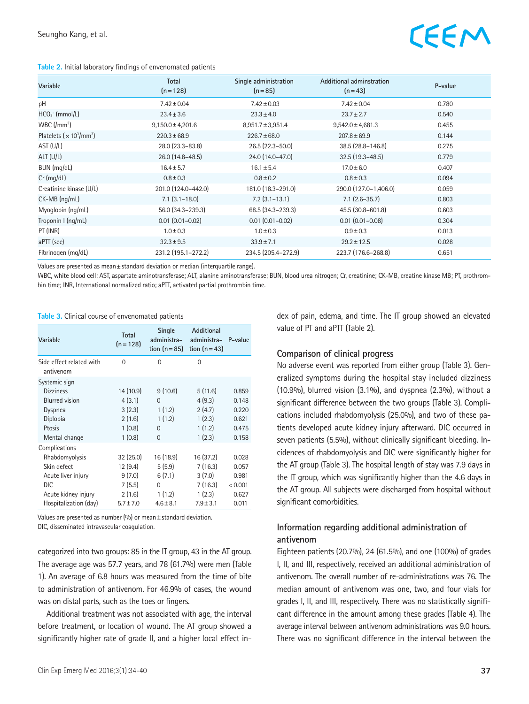#### **Table 2.** Initial laboratory findings of envenomated patients



| Variable                                                | Total                  | Single administration | Additional adminstration | P-value |
|---------------------------------------------------------|------------------------|-----------------------|--------------------------|---------|
|                                                         | $(n=128)$              | $(n = 85)$            | $(n=43)$                 |         |
| pH                                                      | $7.42 \pm 0.04$        | $7.42 \pm 0.03$       | $7.42 \pm 0.04$          | 0.780   |
| $HCO3$ (mmol/L)                                         | $23.4 \pm 3.6$         | $23.3 \pm 4.0$        | $23.7 \pm 2.7$           | 0.540   |
| WBC $\left(\frac{\mu}{3}\right)$                        | $9,150.0 \pm 4,201.6$  | $8,951.7 \pm 3,951.4$ | $9,542.0 \pm 4,681.3$    | 0.455   |
| Platelets ( $\times$ 10 <sup>3</sup> /mm <sup>3</sup> ) | $220.3 \pm 68.9$       | $226.7 \pm 68.0$      | $207.8 \pm 69.9$         | 0.144   |
| AST (U/L)                                               | 28.0 (23.3-83.8)       | $26.5(22.3 - 50.0)$   | 38.5 (28.8-146.8)        | 0.275   |
| $ALT$ (U/L)                                             | 26.0 (14.8-48.5)       | 24.0 (14.0-47.0)      | $32.5(19.3 - 48.5)$      | 0.779   |
| BUN (mg/dL)                                             | $16.4 \pm 5.7$         | $16.1 \pm 5.4$        | $17.0 \pm 6.0$           | 0.407   |
| $Cr$ (mg/dL)                                            | $0.8 \pm 0.3$          | $0.8 \pm 0.2$         | $0.8 \pm 0.3$            | 0.094   |
| Creatinine kinase (U/L)                                 | 201.0 (124.0-442.0)    | 181.0 (18.3-291.0)    | 290.0 (127.0-1,406.0)    | 0.059   |
| CK-MB (ng/mL)                                           | $7.1$ $(3.1 - 18.0)$   | $7.2$ $(3.1 - 13.1)$  | $7.1$ (2.6-35.7)         | 0.803   |
| Myoglobin (ng/mL)                                       | 56.0 (34.3-239.3)      | 68.5 (34.3-239.3)     | 45.5 (30.8-601.8)        | 0.603   |
| Troponin I (ng/mL)                                      | $0.01$ $(0.01 - 0.02)$ | $0.01(0.01 - 0.02)$   | $0.01$ $(0.01 - 0.08)$   | 0.304   |
| PT (INR)                                                | $1.0 \pm 0.3$          | $1.0 \pm 0.3$         | $0.9 \pm 0.3$            | 0.013   |
| $a$ PTT (sec)                                           | $32.3 \pm 9.5$         | $33.9 \pm 7.1$        | $29.2 \pm 12.5$          | 0.028   |
| Fibrinogen (mg/dL)                                      | 231.2 (195.1-272.2)    | 234.5 (205.4-272.9)   | 223.7 (176.6-268.8)      | 0.651   |

Values are presented as mean±standard deviation or median (interquartile range).

WBC, white blood cell; AST, aspartate aminotransferase; ALT, alanine aminotransferase; BUN, blood urea nitrogen; Cr, creatinine; CK-MB, creatine kinase MB; PT, prothrombin time; INR, International normalized ratio; aPTT, activated partial prothrombin time.

#### **Table 3.** Clinical course of envenomated patients

| Variable                              | <b>Total</b><br>$(n = 128)$ | Single<br>administra-<br>tion $(n=85)$ | Additional<br>administra-<br>tion $(n=43)$ | P-value |
|---------------------------------------|-----------------------------|----------------------------------------|--------------------------------------------|---------|
| Side effect related with<br>antivenom | $\Omega$                    | 0                                      | 0                                          |         |
| Systemic sign                         |                             |                                        |                                            |         |
| <b>Dizziness</b>                      | 14 (10.9)                   | 9(10.6)                                | 5(11.6)                                    | 0.859   |
| <b>Blurred</b> vision                 | 4(3.1)                      | $\Omega$                               | 4(9.3)                                     | 0.148   |
| Dyspnea                               | 3(2.3)                      | 1(1.2)                                 | 2(4.7)                                     | 0.220   |
| Diplopia                              | 2(1.6)                      | 1(1.2)                                 | 1(2.3)                                     | 0.621   |
| Ptosis                                | 1(0.8)                      | $\Omega$                               | 1(1.2)                                     | 0.475   |
| Mental change                         | 1(0.8)                      | $\Omega$                               | 1(2.3)                                     | 0.158   |
| Complications                         |                             |                                        |                                            |         |
| Rhabdomyolysis                        | 32(25.0)                    | 16 (18.9)                              | 16 (37.2)                                  | 0.028   |
| Skin defect                           | 12 (9.4)                    | 5(5.9)                                 | 7(16.3)                                    | 0.057   |
| Acute liver injury                    | 9(7.0)                      | 6(7.1)                                 | 3(7.0)                                     | 0.981   |
| DIC.                                  | 7(5.5)                      | $\Omega$                               | 7(16.3)                                    | < 0.001 |
| Acute kidney injury                   | 2(1.6)                      | 1(1.2)                                 | 1(2.3)                                     | 0.627   |
| Hospitalization (day)                 | $5.7 \pm 7.0$               | $4.6 \pm 8.1$                          | $7.9 \pm 3.1$                              | 0.011   |

Values are presented as number (%) or mean±standard deviation. DIC, disseminated intravascular coagulation.

categorized into two groups: 85 in the IT group, 43 in the AT group. The average age was 57.7 years, and 78 (61.7%) were men (Table 1). An average of 6.8 hours was measured from the time of bite to administration of antivenom. For 46.9% of cases, the wound was on distal parts, such as the toes or fingers.

Additional treatment was not associated with age, the interval before treatment, or location of wound. The AT group showed a significantly higher rate of grade II, and a higher local effect index of pain, edema, and time. The IT group showed an elevated value of PT and aPTT (Table 2).

#### **Comparison of clinical progress**

No adverse event was reported from either group (Table 3). Generalized symptoms during the hospital stay included dizziness (10.9%), blurred vision (3.1%), and dyspnea (2.3%), without a significant difference between the two groups (Table 3). Complications included rhabdomyolysis (25.0%), and two of these patients developed acute kidney injury afterward. DIC occurred in seven patients (5.5%), without clinically significant bleeding. Incidences of rhabdomyolysis and DIC were significantly higher for the AT group (Table 3). The hospital length of stay was 7.9 days in the IT group, which was significantly higher than the 4.6 days in the AT group. All subjects were discharged from hospital without significant comorbidities.

#### **Information regarding additional administration of antivenom**

Eighteen patients (20.7%), 24 (61.5%), and one (100%) of grades I, II, and III, respectively, received an additional administration of antivenom. The overall number of re-administrations was 76. The median amount of antivenom was one, two, and four vials for grades I, II, and III, respectively. There was no statistically significant difference in the amount among these grades (Table 4). The average interval between antivenom administrations was 9.0 hours. There was no significant difference in the interval between the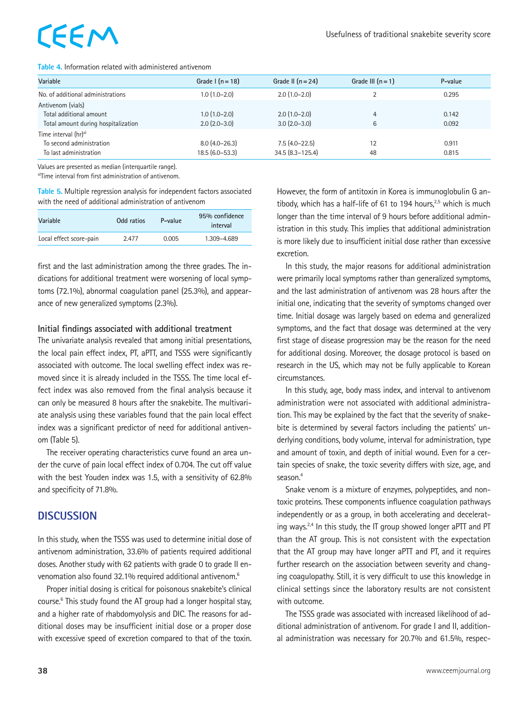# EEM

#### **Table 4.** Information related with administered antivenom

| Variable                                                                               | Grade $\lceil (n = 18) \rceil$        | Grade II $(n=24)$                      | Grade III $(n=1)$ | P-value        |
|----------------------------------------------------------------------------------------|---------------------------------------|----------------------------------------|-------------------|----------------|
| No. of additional administrations                                                      | $1.0(1.0-2.0)$                        | $2.0(1.0-2.0)$                         |                   | 0.295          |
| Antivenom (vials)<br>Total additional amount<br>Total amount during hospitalization    | $1.0(1.0-2.0)$<br>$2.0$ $(2.0 - 3.0)$ | $2.0(1.0-2.0)$<br>$3.0(2.0-3.0)$       | 4<br>6            | 0.142<br>0.092 |
| Time interval (hr) <sup>a)</sup><br>To second administration<br>To last administration | $8.0(4.0-26.3)$<br>$18.5(6.0-53.3)$   | $7.5(4.0-22.5)$<br>$34.5(8.3 - 125.4)$ | 12<br>48          | 0.911<br>0.815 |

Values are presented as median (interquartile range).

a)Time interval from first administration of antivenom.

**Table 5.** Multiple regression analysis for independent factors associated with the need of additional administration of antivenom

| Variable                | Odd ratios | P-value | 95% confidence<br>interval |
|-------------------------|------------|---------|----------------------------|
| Local effect score-pain | 2.477      | 0.005   | 1.309-4.689                |

first and the last administration among the three grades. The indications for additional treatment were worsening of local symptoms (72.1%), abnormal coagulation panel (25.3%), and appearance of new generalized symptoms (2.3%).

#### **Initial findings associated with additional treatment**

The univariate analysis revealed that among initial presentations, the local pain effect index, PT, aPTT, and TSSS were significantly associated with outcome. The local swelling effect index was removed since it is already included in the TSSS. The time local effect index was also removed from the final analysis because it can only be measured 8 hours after the snakebite. The multivariate analysis using these variables found that the pain local effect index was a significant predictor of need for additional antivenom (Table 5).

The receiver operating characteristics curve found an area under the curve of pain local effect index of 0.704. The cut off value with the best Youden index was 1.5, with a sensitivity of 62.8% and specificity of 71.8%.

## **DISCUSSION**

In this study, when the TSSS was used to determine initial dose of antivenom administration, 33.6% of patients required additional doses. Another study with 62 patients with grade 0 to grade II envenomation also found 32.1% required additional antivenom.<sup>6</sup>

Proper initial dosing is critical for poisonous snakebite's clinical course.<sup>6</sup> This study found the AT group had a longer hospital stay, and a higher rate of rhabdomyolysis and DIC. The reasons for additional doses may be insufficient initial dose or a proper dose with excessive speed of excretion compared to that of the toxin. However, the form of antitoxin in Korea is immunoglobulin G antibody, which has a half-life of 61 to 194 hours, $2.5$  which is much longer than the time interval of 9 hours before additional administration in this study. This implies that additional administration is more likely due to insufficient initial dose rather than excessive excretion.

In this study, the major reasons for additional administration were primarily local symptoms rather than generalized symptoms, and the last administration of antivenom was 28 hours after the initial one, indicating that the severity of symptoms changed over time. Initial dosage was largely based on edema and generalized symptoms, and the fact that dosage was determined at the very first stage of disease progression may be the reason for the need for additional dosing. Moreover, the dosage protocol is based on research in the US, which may not be fully applicable to Korean circumstances.

In this study, age, body mass index, and interval to antivenom administration were not associated with additional administration. This may be explained by the fact that the severity of snakebite is determined by several factors including the patients' underlying conditions, body volume, interval for administration, type and amount of toxin, and depth of initial wound. Even for a certain species of snake, the toxic severity differs with size, age, and season.<sup>4</sup>

Snake venom is a mixture of enzymes, polypeptides, and nontoxic proteins. These components influence coagulation pathways independently or as a group, in both accelerating and decelerating ways.<sup>2,4</sup> In this study, the IT group showed longer aPTT and PT than the AT group. This is not consistent with the expectation that the AT group may have longer aPTT and PT, and it requires further research on the association between severity and changing coagulopathy. Still, it is very difficult to use this knowledge in clinical settings since the laboratory results are not consistent with outcome.

The TSSS grade was associated with increased likelihood of additional administration of antivenom. For grade I and II, additional administration was necessary for 20.7% and 61.5%, respec-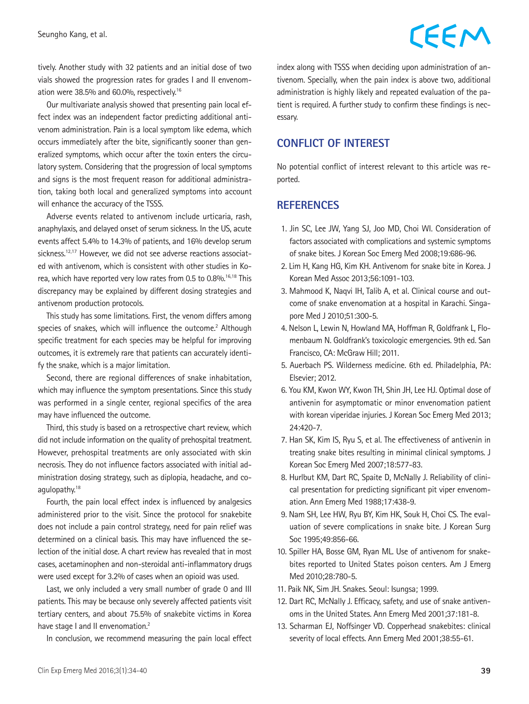## CEEM

tively. Another study with 32 patients and an initial dose of two vials showed the progression rates for grades I and II envenomation were 38.5% and 60.0%, respectively.<sup>16</sup>

Our multivariate analysis showed that presenting pain local effect index was an independent factor predicting additional antivenom administration. Pain is a local symptom like edema, which occurs immediately after the bite, significantly sooner than generalized symptoms, which occur after the toxin enters the circulatory system. Considering that the progression of local symptoms and signs is the most frequent reason for additional administration, taking both local and generalized symptoms into account will enhance the accuracy of the TSSS.

Adverse events related to antivenom include urticaria, rash, anaphylaxis, and delayed onset of serum sickness. In the US, acute events affect 5.4% to 14.3% of patients, and 16% develop serum sickness.<sup>12,17</sup> However, we did not see adverse reactions associated with antivenom, which is consistent with other studies in Korea, which have reported very low rates from 0.5 to 0.8%.<sup>16,18</sup> This discrepancy may be explained by different dosing strategies and antivenom production protocols.

This study has some limitations. First, the venom differs among species of snakes, which will influence the outcome. $2$  Although specific treatment for each species may be helpful for improving outcomes, it is extremely rare that patients can accurately identify the snake, which is a major limitation.

Second, there are regional differences of snake inhabitation, which may influence the symptom presentations. Since this study was performed in a single center, regional specifics of the area may have influenced the outcome.

Third, this study is based on a retrospective chart review, which did not include information on the quality of prehospital treatment. However, prehospital treatments are only associated with skin necrosis. They do not influence factors associated with initial administration dosing strategy, such as diplopia, headache, and coagulopathy.<sup>18</sup>

Fourth, the pain local effect index is influenced by analgesics administered prior to the visit. Since the protocol for snakebite does not include a pain control strategy, need for pain relief was determined on a clinical basis. This may have influenced the selection of the initial dose. A chart review has revealed that in most cases, acetaminophen and non-steroidal anti-inflammatory drugs were used except for 3.2% of cases when an opioid was used.

Last, we only included a very small number of grade 0 and III patients. This may be because only severely affected patients visit tertiary centers, and about 75.5% of snakebite victims in Korea have stage I and II envenomation.<sup>2</sup>

In conclusion, we recommend measuring the pain local effect

index along with TSSS when deciding upon administration of antivenom. Specially, when the pain index is above two, additional administration is highly likely and repeated evaluation of the patient is required. A further study to confirm these findings is necessary.

### **CONFLICT OF INTEREST**

No potential conflict of interest relevant to this article was reported.

### **REFERENCES**

- 1. Jin SC, Lee JW, Yang SJ, Joo MD, Choi WI. Consideration of factors associated with complications and systemic symptoms of snake bites. J Korean Soc Emerg Med 2008;19:686-96.
- 2. Lim H, Kang HG, Kim KH. Antivenom for snake bite in Korea. J Korean Med Assoc 2013;56:1091-103.
- 3. Mahmood K, Naqvi IH, Talib A, et al. Clinical course and outcome of snake envenomation at a hospital in Karachi. Singapore Med J 2010;51:300-5.
- 4. Nelson L, Lewin N, Howland MA, Hoffman R, Goldfrank L, Flomenbaum N. Goldfrank's toxicologic emergencies. 9th ed. San Francisco, CA: McGraw Hill; 2011.
- 5. Auerbach PS. Wilderness medicine. 6th ed. Philadelphia, PA: Elsevier; 2012.
- 6. You KM, Kwon WY, Kwon TH, Shin JH, Lee HJ. Optimal dose of antivenin for asymptomatic or minor envenomation patient with korean viperidae injuries. J Korean Soc Emerg Med 2013; 24:420-7.
- 7. Han SK, Kim IS, Ryu S, et al. The effectiveness of antivenin in treating snake bites resulting in minimal clinical symptoms. J Korean Soc Emerg Med 2007;18:577-83.
- 8. Hurlbut KM, Dart RC, Spaite D, McNally J. Reliability of clinical presentation for predicting significant pit viper envenomation. Ann Emerg Med 1988;17:438-9.
- 9. Nam SH, Lee HW, Ryu BY, Kim HK, Souk H, Choi CS. The evaluation of severe complications in snake bite. J Korean Surg Soc 1995;49:856-66.
- 10. Spiller HA, Bosse GM, Ryan ML. Use of antivenom for snakebites reported to United States poison centers. Am J Emerg Med 2010;28:780-5.
- 11. Paik NK, Sim JH. Snakes. Seoul: Isungsa; 1999.
- 12. Dart RC, McNally J. Efficacy, safety, and use of snake antivenoms in the United States. Ann Emerg Med 2001;37:181-8.
- 13. Scharman EJ, Noffsinger VD. Copperhead snakebites: clinical severity of local effects. Ann Emerg Med 2001;38:55-61.